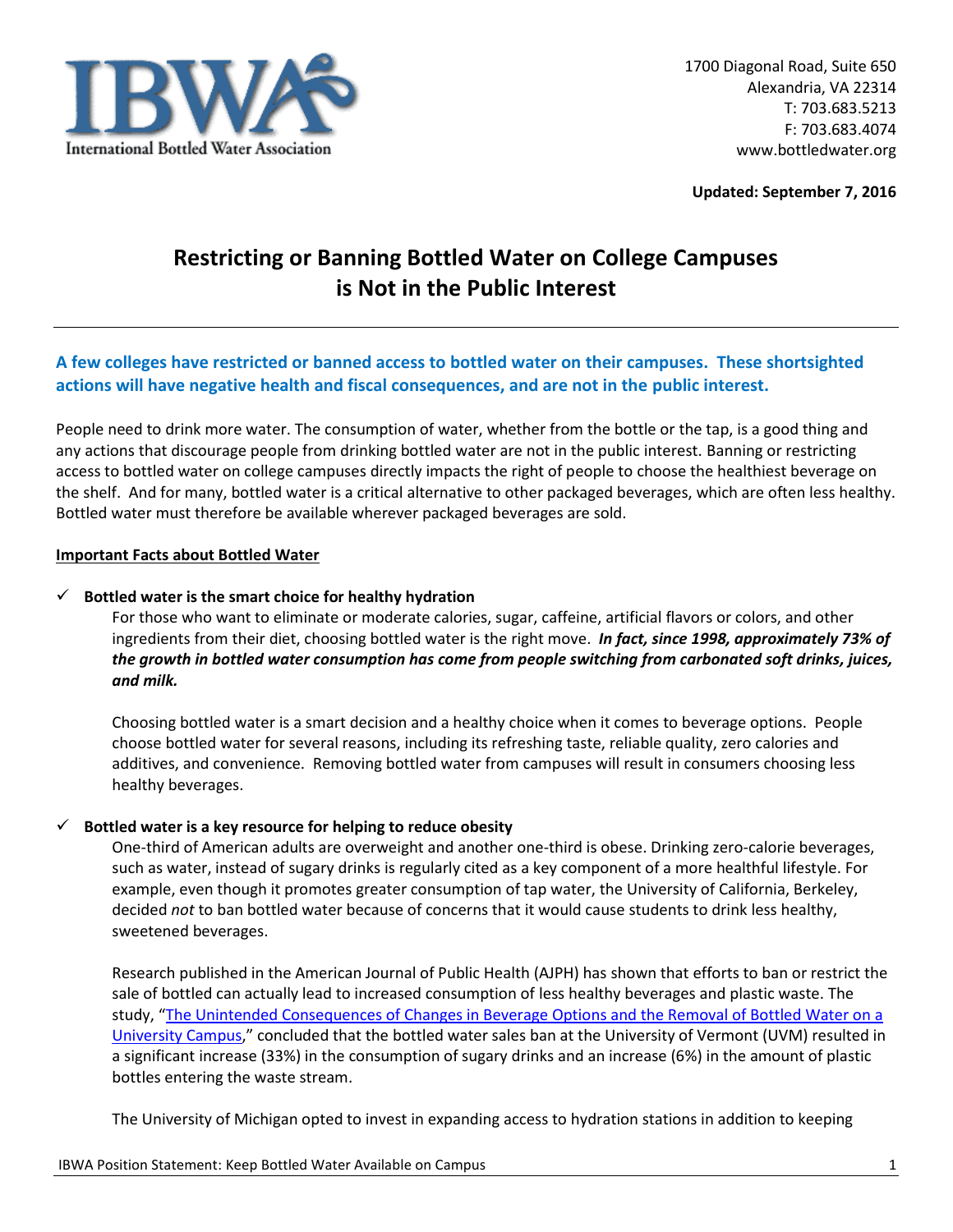

**Updated: September 7, 2016**

# **Restricting or Banning Bottled Water on College Campuses is Not in the Public Interest**

## **A few colleges have restricted or banned access to bottled water on their campuses. These shortsighted actions will have negative health and fiscal consequences, and are not in the public interest.**

People need to drink more water. The consumption of water, whether from the bottle or the tap, is a good thing and any actions that discourage people from drinking bottled water are not in the public interest. Banning or restricting access to bottled water on college campuses directly impacts the right of people to choose the healthiest beverage on the shelf. And for many, bottled water is a critical alternative to other packaged beverages, which are often less healthy. Bottled water must therefore be available wherever packaged beverages are sold.

#### **Important Facts about Bottled Water**

#### **Bottled water is the smart choice for healthy hydration**

For those who want to eliminate or moderate calories, sugar, caffeine, artificial flavors or colors, and other ingredients from their diet, choosing bottled water is the right move. *In fact, since 1998, approximately 73% of the growth in bottled water consumption has come from people switching from carbonated soft drinks, juices, and milk.*

Choosing bottled water is a smart decision and a healthy choice when it comes to beverage options. People choose bottled water for several reasons, including its refreshing taste, reliable quality, zero calories and additives, and convenience. Removing bottled water from campuses will result in consumers choosing less healthy beverages.

#### **Bottled water is a key resource for helping to reduce obesity**

One-third of American adults are overweight and another one-third is obese. Drinking zero-calorie beverages, such as water, instead of sugary drinks is regularly cited as a key component of a more healthful lifestyle. For example, even though it promotes greater consumption of tap water, the University of California, Berkeley, decided *not* to ban bottled water because of concerns that it would cause students to drink less healthy, sweetened beverages.

Research published in the American Journal of Public Health (AJPH) has shown that efforts to ban or restrict the sale of bottled can actually lead to increased consumption of less healthy beverages and plastic waste. The study, "[The Unintended Consequences of Changes in Beverage Options and the Removal of Bottled Water on a](http://www.ncbi.nlm.nih.gov/pubmed/?term=The+Unintended+Consequences+of+Changes+in+Beverage+Options+and+the+Removal+of+Bottled+Water+on+a+University+Campus)  [University Campus](http://www.ncbi.nlm.nih.gov/pubmed/?term=The+Unintended+Consequences+of+Changes+in+Beverage+Options+and+the+Removal+of+Bottled+Water+on+a+University+Campus)," concluded that the bottled water sales ban at the University of Vermont (UVM) resulted in a significant increase (33%) in the consumption of sugary drinks and an increase (6%) in the amount of plastic bottles entering the waste stream.

The University of Michigan opted to invest in expanding access to hydration stations in addition to keeping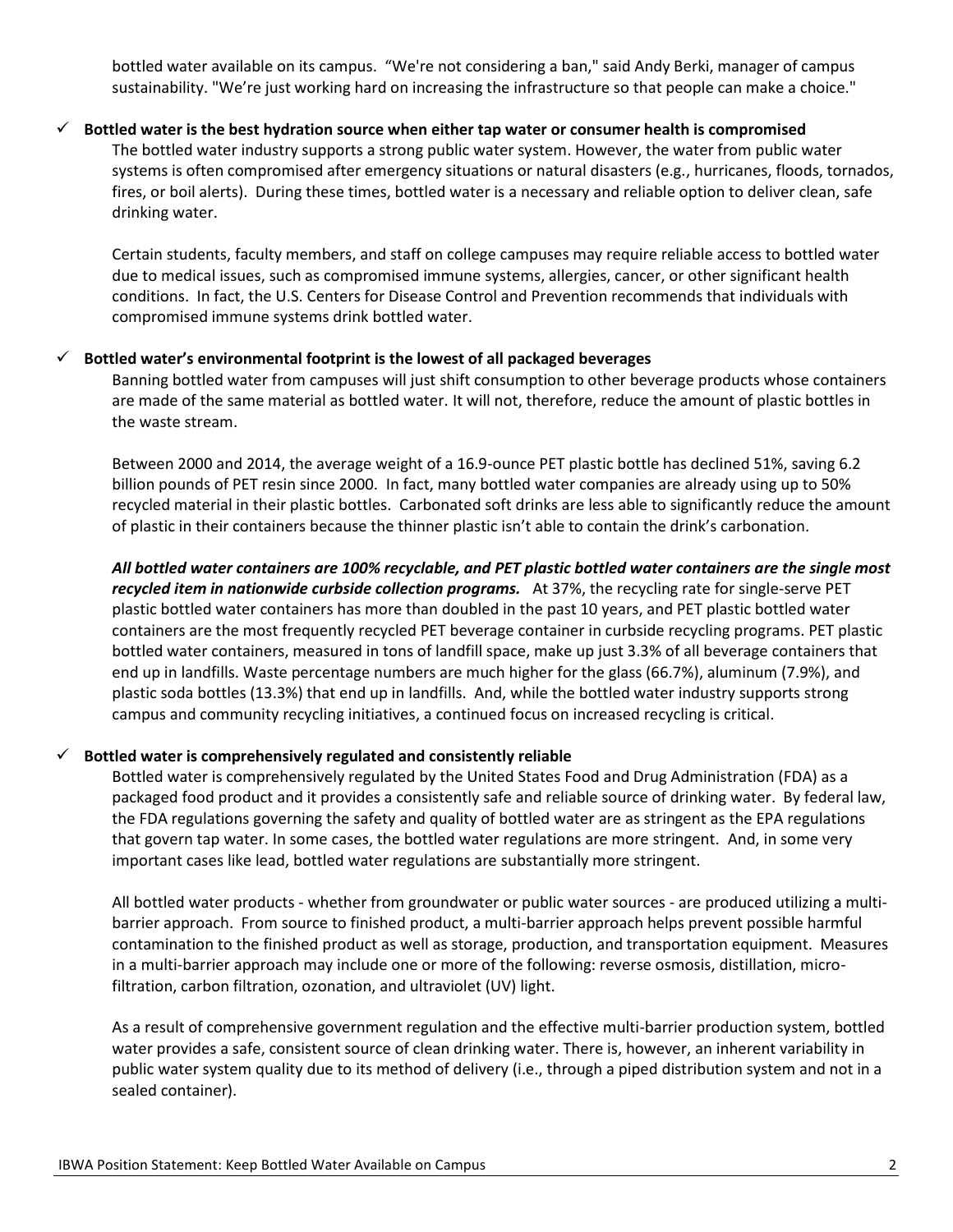bottled water available on its campus. "We're not considering a ban," said Andy Berki, manager of campus sustainability. "We're just working hard on increasing the infrastructure so that people can make a choice."

#### **Bottled water is the best hydration source when either tap water or consumer health is compromised**

The bottled water industry supports a strong public water system. However, the water from public water systems is often compromised after emergency situations or natural disasters (e.g., hurricanes, floods, tornados, fires, or boil alerts). During these times, bottled water is a necessary and reliable option to deliver clean, safe drinking water.

Certain students, faculty members, and staff on college campuses may require reliable access to bottled water due to medical issues, such as compromised immune systems, allergies, cancer, or other significant health conditions. In fact, the U.S. Centers for Disease Control and Prevention recommends that individuals with compromised immune systems drink bottled water.

#### **Bottled water's environmental footprint is the lowest of all packaged beverages**

Banning bottled water from campuses will just shift consumption to other beverage products whose containers are made of the same material as bottled water. It will not, therefore, reduce the amount of plastic bottles in the waste stream.

Between 2000 and 2014, the average weight of a 16.9-ounce PET plastic bottle has declined 51%, saving 6.2 billion pounds of PET resin since 2000. In fact, many bottled water companies are already using up to 50% recycled material in their plastic bottles. Carbonated soft drinks are less able to significantly reduce the amount of plastic in their containers because the thinner plastic isn't able to contain the drink's carbonation.

## *All bottled water containers are 100% recyclable, and PET plastic bottled water containers are the single most recycled item in nationwide curbside collection programs.* At 37%, the recycling rate for single-serve PET plastic bottled water containers has more than doubled in the past 10 years, and PET plastic bottled water containers are the most frequently recycled PET beverage container in curbside recycling programs. PET plastic bottled water containers, measured in tons of landfill space, make up just 3.3% of all beverage containers that end up in landfills. Waste percentage numbers are much higher for the glass (66.7%), aluminum (7.9%), and plastic soda bottles (13.3%) that end up in landfills. And, while the bottled water industry supports strong campus and community recycling initiatives, a continued focus on increased recycling is critical.

## $\checkmark$  Bottled water is comprehensively regulated and consistently reliable

Bottled water is comprehensively regulated by the United States Food and Drug Administration (FDA) as a packaged food product and it provides a consistently safe and reliable source of drinking water. By federal law, the FDA regulations governing the safety and quality of bottled water are as stringent as the EPA regulations that govern tap water. In some cases, the bottled water regulations are more stringent. And, in some very important cases like lead, bottled water regulations are substantially more stringent.

All bottled water products - whether from groundwater or public water sources - are produced utilizing a multibarrier approach. From source to finished product, a multi-barrier approach helps prevent possible harmful contamination to the finished product as well as storage, production, and transportation equipment. Measures in a multi-barrier approach may include one or more of the following: reverse osmosis, distillation, microfiltration, carbon filtration, ozonation, and ultraviolet (UV) light.

As a result of comprehensive government regulation and the effective multi-barrier production system, bottled water provides a safe, consistent source of clean drinking water. There is, however, an inherent variability in public water system quality due to its method of delivery (i.e., through a piped distribution system and not in a sealed container).